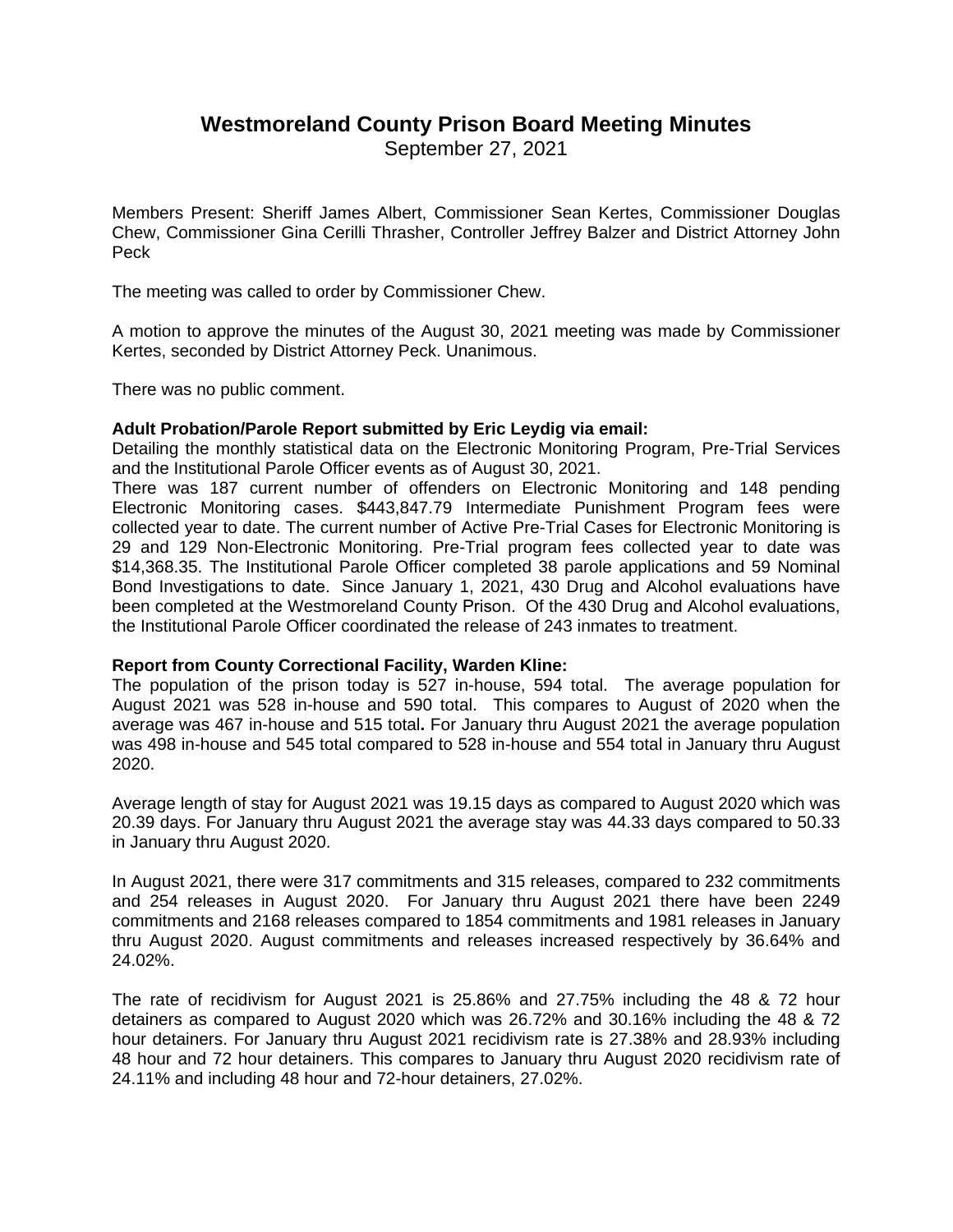# **Westmoreland County Prison Board Meeting Minutes**

September 27, 2021

Members Present: Sheriff James Albert, Commissioner Sean Kertes, Commissioner Douglas Chew, Commissioner Gina Cerilli Thrasher, Controller Jeffrey Balzer and District Attorney John Peck

The meeting was called to order by Commissioner Chew.

A motion to approve the minutes of the August 30, 2021 meeting was made by Commissioner Kertes, seconded by District Attorney Peck. Unanimous.

There was no public comment.

## **Adult Probation/Parole Report submitted by Eric Leydig via email:**

Detailing the monthly statistical data on the Electronic Monitoring Program, Pre-Trial Services and the Institutional Parole Officer events as of August 30, 2021.

There was 187 current number of offenders on Electronic Monitoring and 148 pending Electronic Monitoring cases. \$443,847.79 Intermediate Punishment Program fees were collected year to date. The current number of Active Pre-Trial Cases for Electronic Monitoring is 29 and 129 Non-Electronic Monitoring. Pre-Trial program fees collected year to date was \$14,368.35. The Institutional Parole Officer completed 38 parole applications and 59 Nominal Bond Investigations to date. Since January 1, 2021, 430 Drug and Alcohol evaluations have been completed at the Westmoreland County Prison. Of the 430 Drug and Alcohol evaluations, the Institutional Parole Officer coordinated the release of 243 inmates to treatment.

### **Report from County Correctional Facility, Warden Kline:**

The population of the prison today is 527 in-house, 594 total. The average population for August 2021 was 528 in-house and 590 total. This compares to August of 2020 when the average was 467 in-house and 515 total**.** For January thru August 2021 the average population was 498 in-house and 545 total compared to 528 in-house and 554 total in January thru August 2020.

Average length of stay for August 2021 was 19.15 days as compared to August 2020 which was 20.39 days. For January thru August 2021 the average stay was 44.33 days compared to 50.33 in January thru August 2020.

In August 2021, there were 317 commitments and 315 releases, compared to 232 commitments and 254 releases in August 2020. For January thru August 2021 there have been 2249 commitments and 2168 releases compared to 1854 commitments and 1981 releases in January thru August 2020. August commitments and releases increased respectively by 36.64% and 24.02%.

The rate of recidivism for August 2021 is 25.86% and 27.75% including the 48 & 72 hour detainers as compared to August 2020 which was 26.72% and 30.16% including the 48 & 72 hour detainers. For January thru August 2021 recidivism rate is 27.38% and 28.93% including 48 hour and 72 hour detainers. This compares to January thru August 2020 recidivism rate of 24.11% and including 48 hour and 72-hour detainers, 27.02%.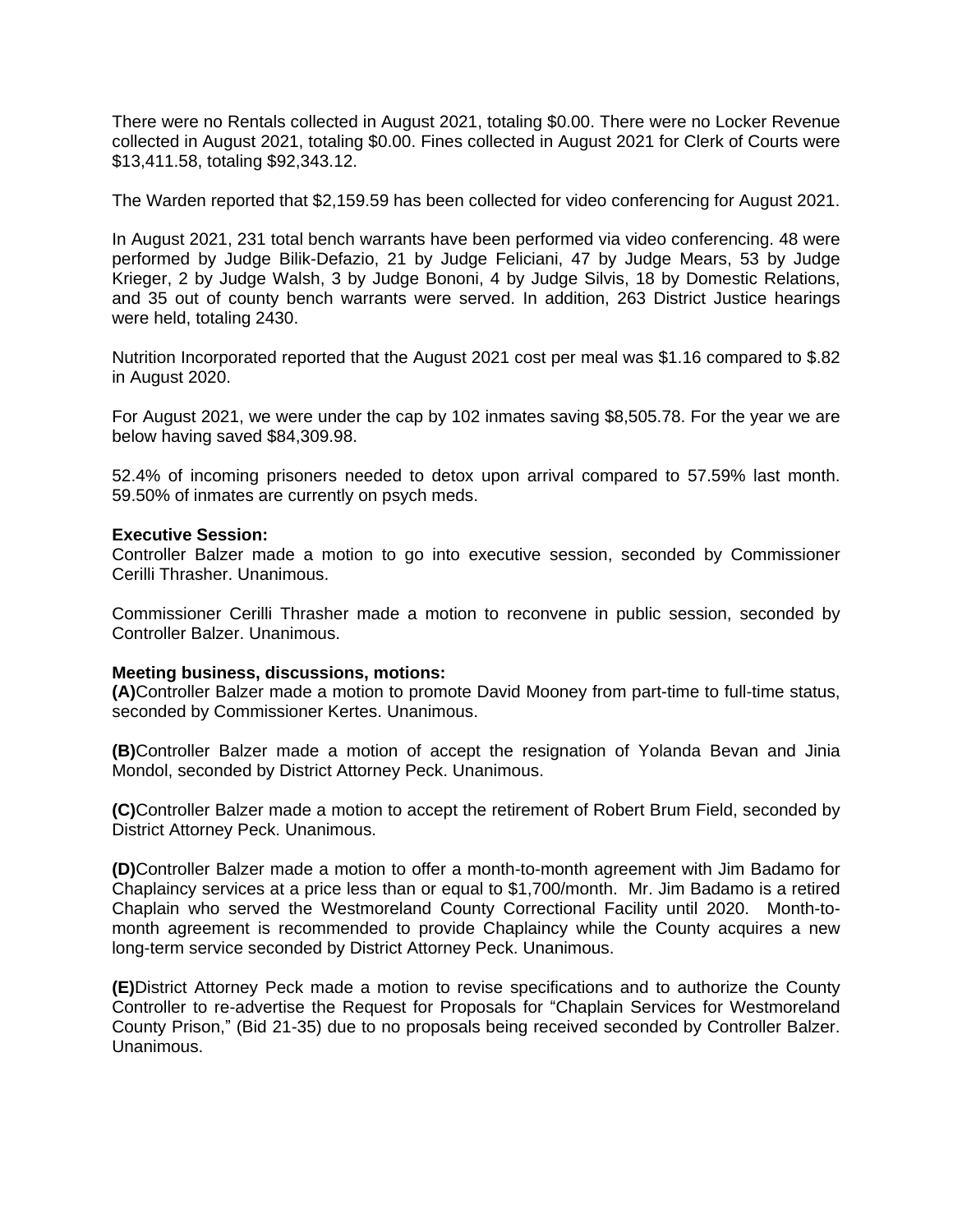There were no Rentals collected in August 2021, totaling \$0.00. There were no Locker Revenue collected in August 2021, totaling \$0.00. Fines collected in August 2021 for Clerk of Courts were \$13,411.58, totaling \$92,343.12.

The Warden reported that \$2,159.59 has been collected for video conferencing for August 2021.

In August 2021, 231 total bench warrants have been performed via video conferencing. 48 were performed by Judge Bilik-Defazio, 21 by Judge Feliciani, 47 by Judge Mears, 53 by Judge Krieger, 2 by Judge Walsh, 3 by Judge Bononi, 4 by Judge Silvis, 18 by Domestic Relations, and 35 out of county bench warrants were served. In addition, 263 District Justice hearings were held, totaling 2430.

Nutrition Incorporated reported that the August 2021 cost per meal was \$1.16 compared to \$.82 in August 2020.

For August 2021, we were under the cap by 102 inmates saving \$8,505.78. For the year we are below having saved \$84,309.98.

52.4% of incoming prisoners needed to detox upon arrival compared to 57.59% last month. 59.50% of inmates are currently on psych meds.

#### **Executive Session:**

Controller Balzer made a motion to go into executive session, seconded by Commissioner Cerilli Thrasher. Unanimous.

Commissioner Cerilli Thrasher made a motion to reconvene in public session, seconded by Controller Balzer. Unanimous.

#### **Meeting business, discussions, motions:**

**(A)**Controller Balzer made a motion to promote David Mooney from part-time to full-time status, seconded by Commissioner Kertes. Unanimous.

**(B)**Controller Balzer made a motion of accept the resignation of Yolanda Bevan and Jinia Mondol, seconded by District Attorney Peck. Unanimous.

**(C)**Controller Balzer made a motion to accept the retirement of Robert Brum Field, seconded by District Attorney Peck. Unanimous.

**(D)**Controller Balzer made a motion to offer a month-to-month agreement with Jim Badamo for Chaplaincy services at a price less than or equal to \$1,700/month. Mr. Jim Badamo is a retired Chaplain who served the Westmoreland County Correctional Facility until 2020. Month-tomonth agreement is recommended to provide Chaplaincy while the County acquires a new long-term service seconded by District Attorney Peck. Unanimous.

**(E)**District Attorney Peck made a motion to revise specifications and to authorize the County Controller to re-advertise the Request for Proposals for "Chaplain Services for Westmoreland County Prison," (Bid 21-35) due to no proposals being received seconded by Controller Balzer. Unanimous.